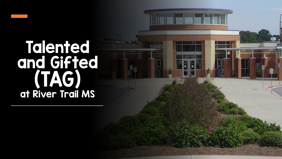## Talented and Gifted (TAG) at River Trail MS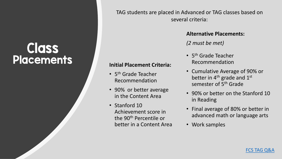### **Class Placements Initial Placement Criteria:**

TAG students are placed in Advanced or TAG classes based on several criteria:

• 5<sup>th</sup> Grade Teacher

Recommendation

• 90% or better average

in the Content Area

Achievement score in

the 90th Percentile or

better in a Content Area

• Stanford 10

#### **Alternative Placements:**

*(2 must be met)*

- 5<sup>th</sup> Grade Teacher Recommendation
- Cumulative Average of 90% or better in  $4<sup>th</sup>$  grade and  $1<sup>st</sup>$ semester of 5<sup>th</sup> Grade
- 90% or better on the Stanford 10 in Reading
- Final average of 80% or better in advanced math or language arts
- Work samples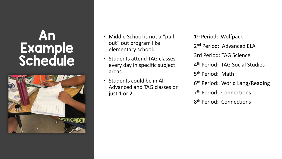### An Example Schedule



- Middle School is not a "pull" out" out program like elementary school.
- Students attend TAG classes every day in specific subject areas.
- Students could be in All Advanced and TAG classes or just 1 or 2.

1st Period: Wolfpack 2<sup>nd</sup> Period: Advanced ELA 3rd Period: TAG Science 4<sup>th</sup> Period: TAG Social Studies 5<sup>th</sup> Period: Math 6<sup>th</sup> Period: World Lang/Reading 7<sup>th</sup> Period: Connections 8<sup>th</sup> Period: Connections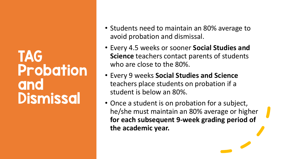### TAG Probation and Dismissal

- Students need to maintain an 80% average to avoid probation and dismissal.
- Every 4.5 weeks or sooner **Social Studies and Science** teachers contact parents of students who are close to the 80%.
- Every 9 weeks **Social Studies and Science**  teachers place students on probation if a student is below an 80%.
- Once a student is on probation for a subject, he/she must maintain an 80% average or higher **for each subsequent 9-week grading period of the academic year.**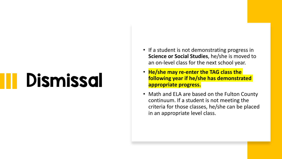# Dismissal

- If a student is not demonstrating progress in **Science or Social Studies**, he/she is moved to an on-level class for the next school year.
- **He/she may re-enter the TAG class the following year if he/she has demonstrated appropriate progress.**
- Math and ELA are based on the Fulton County continuum. If a student is not meeting the criteria for those classes, he/she can be placed in an appropriate level class.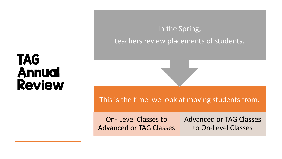### In the Spring, teachers review placements of students.

### TAG Annual Review

This is the time we look at moving students from:

On- Level Classes to Advanced or TAG Classes

Advanced or TAG Classes to On-Level Classes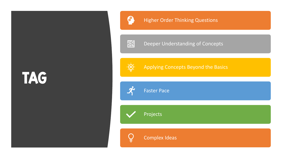# TAG



### **Higher Order Thinking Questions**

圝

Deeper Understanding of Concepts



Applying Concepts Beyond the Basics



Faster Pace

Projects

Complex Ideas